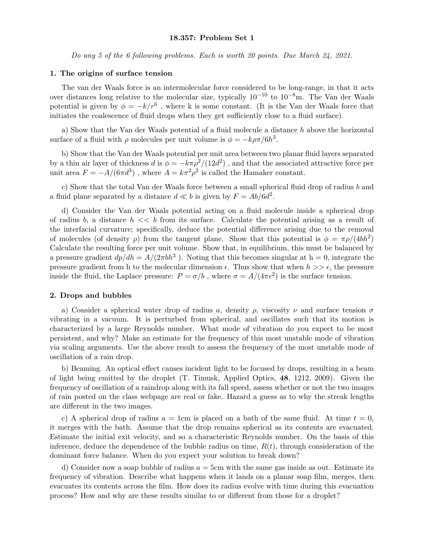# 18.357: Problem Set 1

Do any 5 of the 6 following problems. Each is worth 20 points. Due March 24, 2021.

### 1. The origins of surface tension

The van der Waals force is an intermolecular force considered to be long-range, in that it acts over distances long relative to the molecular size, typically  $10^{-10}$  to  $10^{-8}$ m. The Van der Waals potential is given by  $\phi = -k/r^6$ , where k is some constant. (It is the Van der Waals force that initiates the coalescence of fluid drops when they get sufficiently close to a fluid surface).

a) Show that the Van der Waals potential of a fluid molecule a distance h above the horizontal surface of a fluid with  $\rho$  molecules per unit volume is  $\phi = -k\rho\pi/6h^3$ .

b) Show that the Van der Waals potential per unit area between two planar fluid layers separated by a thin air layer of thickness d is  $\phi = -k\pi \rho^2/(12d^2)$ , and that the associated attractive force per unit area  $F = -A/(6\pi d^3)$ , where  $A = k\pi^2 \rho^2$  is called the Hamaker constant.

c) Show that the total Van der Waals force between a small spherical fluid drop of radius b and a fluid plane separated by a distance  $d \ll b$  is given by  $F = Ab/6d^2$ .

d) Consider the Van der Waals potential acting on a fluid molecule inside a spherical drop of radius b, a distance  $h \ll b$  from its surface. Calculate the potential arising as a result of the interfacial curvature; specifically, deduce the potential difference arising due to the removal of molecules (of density  $\rho$ ) from the tangent plane. Show that this potential is  $\phi = \pi \rho/(4bh^2)$ Calculate the resulting force per unit volume. Show that, in equilibrium, this must be balanced by a pressure gradient  $dp/dh = A/(2\pi b h^3)$ . Noting that this becomes singular at  $h = 0$ , integrate the pressure gradient from h to the molecular dimension  $\epsilon$ . Thus show that when  $h \gg \epsilon$ , the pressure inside the fluid, the Laplace pressure:  $P = \sigma/b$ , where  $\sigma = A/(4\pi\epsilon^2)$  is the surface tension.

### 2. Drops and bubbles

a) Consider a spherical water drop of radius a, density  $\rho$ , viscosity  $\nu$  and surface tension  $\sigma$ vibrating in a vacuum. It is perturbed from spherical, and oscillates such that its motion is characterized by a large Reynolds number. What mode of vibration do you expect to be most persistent, and why? Make an estimate for the frequency of this most unstable mode of vibration via scaling arguments. Use the above result to assess the frequency of the most unstable mode of oscillation of a rain drop.

b) Beaming. An optical effect causes incident light to be focused by drops, resulting in a beam of light being emitted by the droplet (T. Timusk, Applied Optics, 48, 1212, 2009). Given the frequency of oscillation of a raindrop along with its fall speed, assess whether or not the two images of rain posted on the class webpage are real or fake. Hazard a guess as to why the streak lengths are different in the two images.

c) A spherical drop of radius  $a = 1$ cm is placed on a bath of the same fluid. At time  $t = 0$ , it merges with the bath. Assume that the drop remains spherical as its contents are evacuated. Estimate the initial exit velocity, and so a characteristic Reynolds number. On the basis of this inference, deduce the dependence of the bubble radius on time,  $R(t)$ , through consideration of the dominant force balance. When do you expect your solution to break down?

d) Consider now a soap bubble of radius  $a = 5$ cm with the same gas inside as out. Estimate its frequency of vibration. Describe what happens when it lands on a planar soap film, merges, then evacuates its contents across the film. How does its radius evolve with time during this evacuation process? How and why are these results similar to or different from those for a droplet?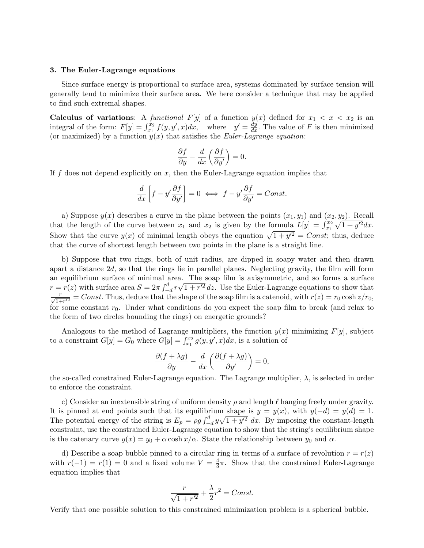## 3. The Euler-Lagrange equations

Since surface energy is proportional to surface area, systems dominated by surface tension will generally tend to minimize their surface area. We here consider a technique that may be applied to find such extremal shapes.

Calculus of variations: A functional F[y] of a function  $y(x)$  defined for  $x_1 < x < x_2$  is an integral of the form:  $F[y] = \int_{x_1}^{x_2} f(y, y', x) dx$ , where  $y' = \frac{dy}{dx}$ . The value of F is then minimized (or maximized) by a function  $y(x)$  that satisfies the *Euler-Lagrange equation*:

$$
\frac{\partial f}{\partial y} - \frac{d}{dx} \left( \frac{\partial f}{\partial y'} \right) = 0.
$$

If f does not depend explicitly on x, then the Euler-Lagrange equation implies that

$$
\frac{d}{dx}\left[f - y'\frac{\partial f}{\partial y'}\right] = 0 \iff f - y'\frac{\partial f}{\partial y'} = Const.
$$

a) Suppose  $y(x)$  describes a curve in the plane between the points  $(x_1, y_1)$  and  $(x_2, y_2)$ . Recall that the length of the curve between  $x_1$  and  $x_2$  is given by the formula  $L[y] = \int_{x_1}^{x_2} \sqrt{1 + y'^2} dx$ . Show that the curve  $y(x)$  of minimal length obeys the equation  $\sqrt{1 + y'^2} = Const$ ; thus, deduce that the curve of shortest length between two points in the plane is a straight line.

b) Suppose that two rings, both of unit radius, are dipped in soapy water and then drawn apart a distance  $2d$ , so that the rings lie in parallel planes. Neglecting gravity, the film will form an equilibrium surface of minimal area. The soap film is axisymmetric, and so forms a surface  $r = r(z)$  with surface area  $S = 2\pi \int_{-d}^{d} r \sqrt{1 + r'^2} dz$ . Use the Euler-Lagrange equations to show that  $\frac{r}{\sqrt{1+r'^2}} = Const.$  Thus, deduce that the shape of the soap film is a catenoid, with  $r(z) = r_0 \cosh z/r_0$ , for some constant  $r_0$ . Under what conditions do you expect the soap film to break (and relax to the form of two circles bounding the rings) on energetic grounds?

Analogous to the method of Lagrange multipliers, the function  $y(x)$  minimizing  $F[y]$ , subject to a constraint  $G[y] = G_0$  where  $G[y] = \int_{x_1}^{x_2} g(y, y', x) dx$ , is a solution of

$$
\frac{\partial (f + \lambda g)}{\partial y} - \frac{d}{dx} \left( \frac{\partial (f + \lambda g)}{\partial y'} \right) = 0,
$$

the so-called constrained Euler-Lagrange equation. The Lagrange multiplier,  $\lambda$ , is selected in order to enforce the constraint.

c) Consider an inextensible string of uniform density  $\rho$  and length  $\ell$  hanging freely under gravity. It is pinned at end points such that its equilibrium shape is  $y = y(x)$ , with  $y(-d) = y(d) = 1$ . The potential energy of the string is  $E_p = \rho g \int_{-d}^{d} y \sqrt{1 + y'^2} dx$ . By imposing the constant-length constraint, use the constrained Euler-Lagrange equation to show that the string's equilibrium shape is the catenary curve  $y(x) = y_0 + \alpha \cosh(x/\alpha)$ . State the relationship between  $y_0$  and  $\alpha$ .

d) Describe a soap bubble pinned to a circular ring in terms of a surface of revolution  $r = r(z)$ with  $r(-1) = r(1) = 0$  and a fixed volume  $V = \frac{4}{3}$  $\frac{4}{3}\pi$ . Show that the constrained Euler-Lagrange equation implies that

$$
\frac{r}{\sqrt{1+r'^2}} + \frac{\lambda}{2}r^2 = Const.
$$

Verify that one possible solution to this constrained minimization problem is a spherical bubble.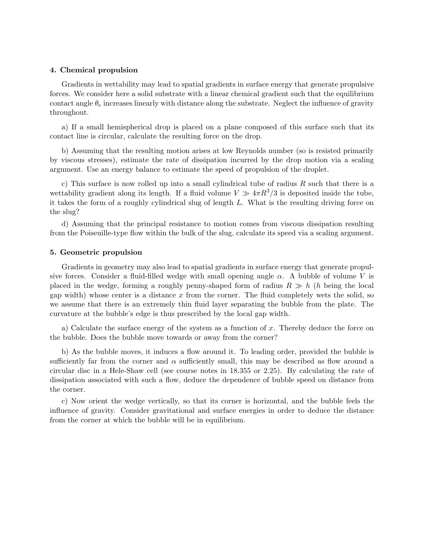# 4. Chemical propulsion

Gradients in wettability may lead to spatial gradients in surface energy that generate propulsive forces. We consider here a solid substrate with a linear chemical gradient such that the equilibrium contact angle  $\theta_e$  increases linearly with distance along the substrate. Neglect the influence of gravity throughout.

a) If a small hemispherical drop is placed on a plane composed of this surface such that its contact line is circular, calculate the resulting force on the drop.

b) Assuming that the resulting motion arises at low Reynolds number (so is resisted primarily by viscous stresses), estimate the rate of dissipation incurred by the drop motion via a scaling argument. Use an energy balance to estimate the speed of propulsion of the droplet.

c) This surface is now rolled up into a small cylindrical tube of radius  $R$  such that there is a wettability gradient along its length. If a fluid volume  $V \gg 4\pi R^3/3$  is deposited inside the tube, it takes the form of a roughly cylindrical slug of length L. What is the resulting driving force on the slug?

d) Assuming that the principal resistance to motion comes from viscous dissipation resulting from the Poiseuille-type flow within the bulk of the slug, calculate its speed via a scaling argument.

## 5. Geometric propulsion

Gradients in geometry may also lead to spatial gradients in surface energy that generate propulsive forces. Consider a fluid-filled wedge with small opening angle  $\alpha$ . A bubble of volume V is placed in the wedge, forming a roughly penny-shaped form of radius  $R \gg h$  (h being the local gap width) whose center is a distance  $x$  from the corner. The fluid completely wets the solid, so we assume that there is an extremely thin fluid layer separating the bubble from the plate. The curvature at the bubble's edge is thus prescribed by the local gap width.

a) Calculate the surface energy of the system as a function of x. Thereby deduce the force on the bubble. Does the bubble move towards or away from the corner?

b) As the bubble moves, it induces a flow around it. To leading order, provided the bubble is sufficiently far from the corner and  $\alpha$  sufficiently small, this may be described as flow around a circular disc in a Hele-Shaw cell (see course notes in 18.355 or 2.25). By calculating the rate of dissipation associated with such a flow, deduce the dependence of bubble speed on distance from the corner.

c) Now orient the wedge vertically, so that its corner is horizontal, and the bubble feels the influence of gravity. Consider gravitational and surface energies in order to deduce the distance from the corner at which the bubble will be in equilibrium.